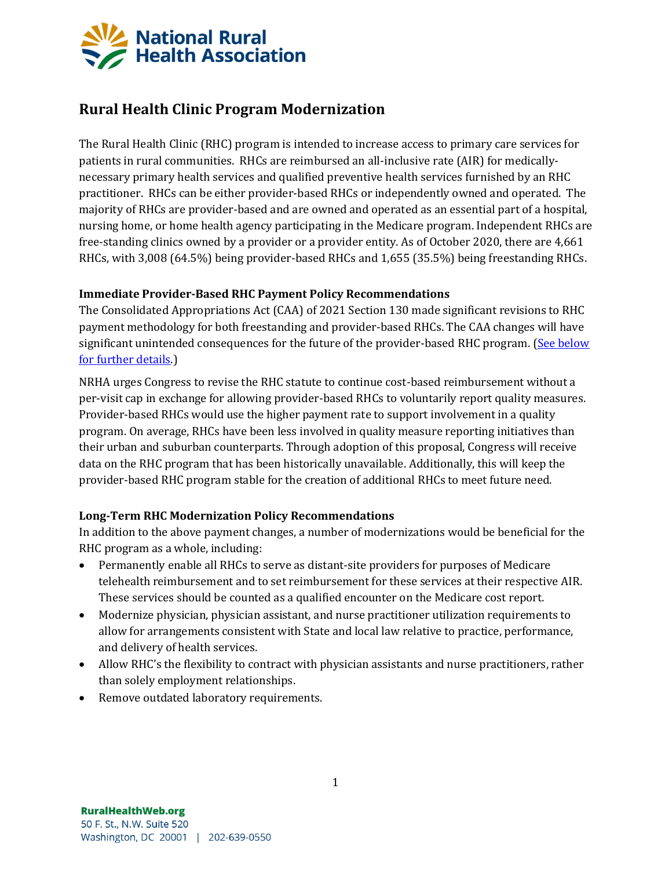

# **Rural Health Clinic Program Modernization**

The Rural Health Clinic (RHC) program is intended to increase access to primary care services for patients in rural communities. RHCs are reimbursed an all-inclusive rate (AIR) for medicallynecessary primary health services and qualified preventive health services furnished by an RHC practitioner. RHCs can be either provider-based RHCs or independently owned and operated. The majority of RHCs are provider-based and are owned and operated as an essential part of a hospital, nursing home, or home health agency participating in the Medicare program. Independent RHCs are free-standing clinics owned by a provider or a provider entity. As of October 2020, there are 4,661 RHCs, with 3,008 (64.5%) being provider-based RHCs and 1,655 (35.5%) being freestanding RHCs.

### **Immediate Provider-Based RHC Payment Policy Recommendations**

The Consolidated Appropriations Act (CAA) of 2021 Section 130 made significant revisions to RHC payment methodology for both freestanding and provider-based RHCs. The CAA changes will have significant unintended consequences for the future of the provider-based RHC program. (See below [for further details.\)](#page-1-0)

NRHA urges Congress to revise the RHC statute to continue cost-based reimbursement without a per-visit cap in exchange for allowing provider-based RHCs to voluntarily report quality measures. Provider-based RHCs would use the higher payment rate to support involvement in a quality program. On average, RHCs have been less involved in quality measure reporting initiatives than their urban and suburban counterparts. Through adoption of this proposal, Congress will receive data on the RHC program that has been historically unavailable. Additionally, this will keep the provider-based RHC program stable for the creation of additional RHCs to meet future need.

## **Long-Term RHC Modernization Policy Recommendations**

In addition to the above payment changes, a number of modernizations would be beneficial for the RHC program as a whole, including:

- Permanently enable all RHCs to serve as distant-site providers for purposes of Medicare telehealth reimbursement and to set reimbursement for these services at their respective AIR. These services should be counted as a qualified encounter on the Medicare cost report.
- Modernize physician, physician assistant, and nurse practitioner utilization requirements to allow for arrangements consistent with State and local law relative to practice, performance, and delivery of health services.
- Allow RHC's the flexibility to contract with physician assistants and nurse practitioners, rather than solely employment relationships.
- Remove outdated laboratory requirements.